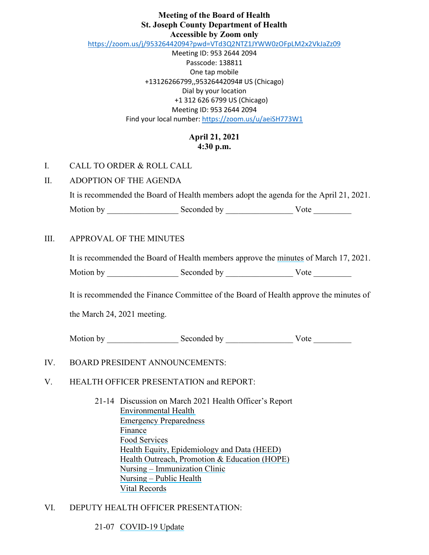#### **Meeting of the Board of Health St. Joseph County Department of Health Accessible by Zoom only**

<https://zoom.us/j/95326442094?pwd=VTd3Q2NTZ1JYWW0zOFpLM2x2VkJaZz09>

Meeting ID: 953 2644 2094 Passcode: 138811 One tap mobile +13126266799,,95326442094# US (Chicago) Dial by your location +1 312 626 6799 US (Chicago) Meeting ID: 953 2644 2094 Find your local number[: https://zoom.us/u/aeiSH773W1](https://zoom.us/u/aeiSH773W1)

# **April 21, 2021 4:30 p.m.**

I. CALL TO ORDER & ROLL CALL

## II. ADOPTION OF THE AGENDA

It is recommended the Board of Health members adopt the agenda for the April 21, 2021.

Motion by \_\_\_\_\_\_\_\_\_\_\_\_\_\_\_\_\_ Seconded by \_\_\_\_\_\_\_\_\_\_\_\_\_\_\_\_ Vote \_\_\_\_\_\_\_\_\_

## III. APPROVAL OF THE MINUTES

It is recommended the Board of Health members approve the minutes of March 17, 2021.

Motion by \_\_\_\_\_\_\_\_\_\_\_\_\_\_\_\_\_ Seconded by \_\_\_\_\_\_\_\_\_\_\_\_\_\_\_\_ Vote \_\_\_\_\_\_\_\_\_

It is recommended the Finance Committee of the Board of Health approve the minutes of

the March 24, 2021 meeting.

Motion by \_\_\_\_\_\_\_\_\_\_\_\_\_\_\_\_\_ Seconded by \_\_\_\_\_\_\_\_\_\_\_\_\_\_\_\_ Vote \_\_\_\_\_\_\_\_\_

## IV. BOARD PRESIDENT ANNOUNCEMENTS:

#### V. HEALTH OFFICER PRESENTATION and REPORT:

21-14 Discussion on March 2021 Health Officer's Report Environmental Health Emergency Preparedness Finance Food Services Health Equity, Epidemiology and Data (HEED) Health Outreach, Promotion & Education (HOPE) Nursing – Immunization Clinic Nursing – Public Health Vital Records

## VI. DEPUTY HEALTH OFFICER PRESENTATION:

#### 21-07 COVID-19 Update